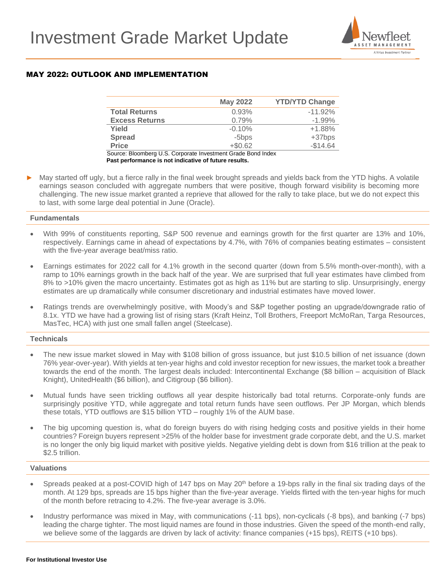

# MAY 2022: OUTLOOK AND IMPLEMENTATION

|                       | <b>May 2022</b> | <b>YTD/YTD Change</b> |
|-----------------------|-----------------|-----------------------|
| <b>Total Returns</b>  | 0.93%           | $-11.92\%$            |
| <b>Excess Returns</b> | 0.79%           | $-1.99%$              |
| Yield                 | $-0.10%$        | $+1.88%$              |
| <b>Spread</b>         | -5bps           | $+37bps$              |
| <b>Price</b>          | $+ $0.62$       | $-$14.64$             |

Source: Bloomberg U.S. Corporate Investment Grade Bond Index **Past performance is not indicative of future results.**

May started off ugly, but a fierce rally in the final week brought spreads and yields back from the YTD highs. A volatile earnings season concluded with aggregate numbers that were positive, though forward visibility is becoming more challenging. The new issue market granted a reprieve that allowed for the rally to take place, but we do not expect this to last, with some large deal potential in June (Oracle).

## **Fundamentals**

- With 99% of constituents reporting, S&P 500 revenue and earnings growth for the first quarter are 13% and 10%, respectively. Earnings came in ahead of expectations by 4.7%, with 76% of companies beating estimates – consistent with the five-year average beat/miss ratio.
- Earnings estimates for 2022 call for 4.1% growth in the second quarter (down from 5.5% month-over-month), with a ramp to 10% earnings growth in the back half of the year. We are surprised that full year estimates have climbed from 8% to >10% given the macro uncertainty. Estimates got as high as 11% but are starting to slip. Unsurprisingly, energy estimates are up dramatically while consumer discretionary and industrial estimates have moved lower.
- Ratings trends are overwhelmingly positive, with Moody's and S&P together posting an upgrade/downgrade ratio of 8.1x. YTD we have had a growing list of rising stars (Kraft Heinz, Toll Brothers, Freeport McMoRan, Targa Resources, MasTec, HCA) with just one small fallen angel (Steelcase).

# **Technicals**

- The new issue market slowed in May with \$108 billion of gross issuance, but just \$10.5 billion of net issuance (down 76% year-over-year). With yields at ten-year highs and cold investor reception for new issues, the market took a breather towards the end of the month. The largest deals included: Intercontinental Exchange (\$8 billion – acquisition of Black Knight), UnitedHealth (\$6 billion), and Citigroup (\$6 billion).
- Mutual funds have seen trickling outflows all year despite historically bad total returns. Corporate-only funds are surprisingly positive YTD, while aggregate and total return funds have seen outflows. Per JP Morgan, which blends these totals, YTD outflows are \$15 billion YTD – roughly 1% of the AUM base.
- The big upcoming question is, what do foreign buyers do with rising hedging costs and positive yields in their home countries? Foreign buyers represent >25% of the holder base for investment grade corporate debt, and the U.S. market is no longer the only big liquid market with positive yields. Negative yielding debt is down from \$16 trillion at the peak to \$2.5 trillion.

### **Valuations**

- Spreads peaked at a post-COVID high of 147 bps on May 20<sup>th</sup> before a 19-bps rally in the final six trading days of the month. At 129 bps, spreads are 15 bps higher than the five-year average. Yields flirted with the ten-year highs for much of the month before retracing to 4.2%. The five-year average is 3.0%.
- Industry performance was mixed in May, with communications (-11 bps), non-cyclicals (-8 bps), and banking (-7 bps) leading the charge tighter. The most liquid names are found in those industries. Given the speed of the month-end rally, we believe some of the laggards are driven by lack of activity: finance companies (+15 bps), REITS (+10 bps).